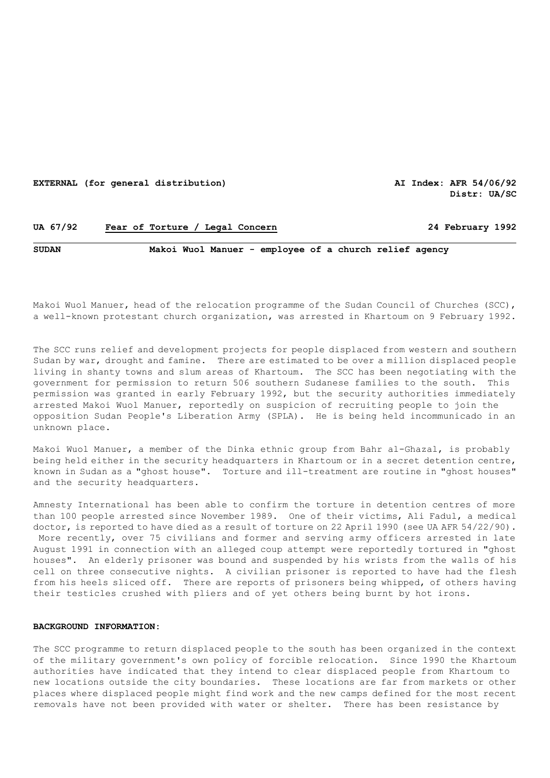## **EXTERNAL (for general distribution) AI Index: AFR 54/06/92**

**Distr: UA/SC** 

# **UA 67/92 Fear of Torture / Legal Concern 24 February 1992**

# **SUDAN Makoi Wuol Manuer - employee of a church relief agency**

Makoi Wuol Manuer, head of the relocation programme of the Sudan Council of Churches (SCC), a well-known protestant church organization, was arrested in Khartoum on 9 February 1992.

The SCC runs relief and development projects for people displaced from western and southern Sudan by war, drought and famine. There are estimated to be over a million displaced people living in shanty towns and slum areas of Khartoum. The SCC has been negotiating with the government for permission to return 506 southern Sudanese families to the south. This permission was granted in early February 1992, but the security authorities immediately arrested Makoi Wuol Manuer, reportedly on suspicion of recruiting people to join the opposition Sudan People's Liberation Army (SPLA). He is being held incommunicado in an unknown place.

Makoi Wuol Manuer, a member of the Dinka ethnic group from Bahr al-Ghazal, is probably being held either in the security headquarters in Khartoum or in a secret detention centre, known in Sudan as a "ghost house". Torture and ill-treatment are routine in "ghost houses" and the security headquarters.

Amnesty International has been able to confirm the torture in detention centres of more than 100 people arrested since November 1989. One of their victims, Ali Fadul, a medical doctor, is reported to have died as a result of torture on 22 April 1990 (see UA AFR 54/22/90). More recently, over 75 civilians and former and serving army officers arrested in late August 1991 in connection with an alleged coup attempt were reportedly tortured in "ghost houses". An elderly prisoner was bound and suspended by his wrists from the walls of his cell on three consecutive nights. A civilian prisoner is reported to have had the flesh from his heels sliced off. There are reports of prisoners being whipped, of others having their testicles crushed with pliers and of yet others being burnt by hot irons.

#### **BACKGROUND INFORMATION:**

The SCC programme to return displaced people to the south has been organized in the context of the military government's own policy of forcible relocation. Since 1990 the Khartoum authorities have indicated that they intend to clear displaced people from Khartoum to new locations outside the city boundaries. These locations are far from markets or other places where displaced people might find work and the new camps defined for the most recent removals have not been provided with water or shelter. There has been resistance by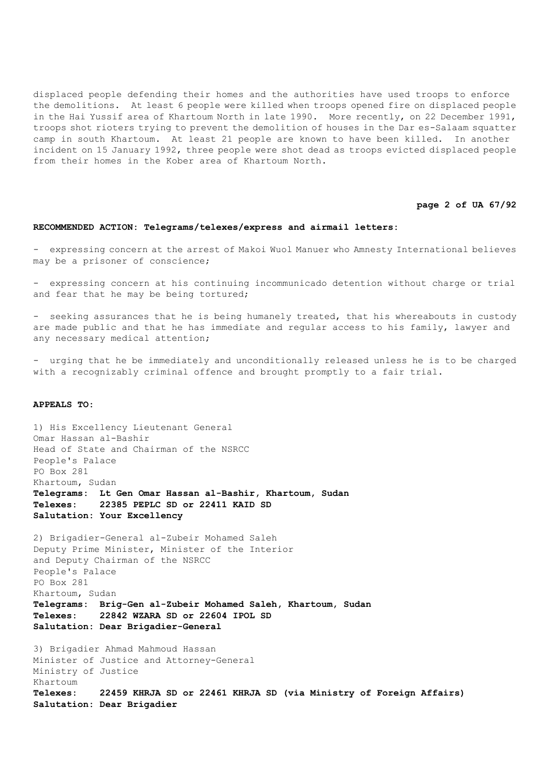displaced people defending their homes and the authorities have used troops to enforce the demolitions. At least 6 people were killed when troops opened fire on displaced people in the Hai Yussif area of Khartoum North in late 1990. More recently, on 22 December 1991, troops shot rioters trying to prevent the demolition of houses in the Dar es-Salaam squatter camp in south Khartoum. At least 21 people are known to have been killed. In another incident on 15 January 1992, three people were shot dead as troops evicted displaced people from their homes in the Kober area of Khartoum North.

## **page 2 of UA 67/92**

## **RECOMMENDED ACTION: Telegrams/telexes/express and airmail letters:**

- expressing concern at the arrest of Makoi Wuol Manuer who Amnesty International believes may be a prisoner of conscience;

- expressing concern at his continuing incommunicado detention without charge or trial and fear that he may be being tortured;

- seeking assurances that he is being humanely treated, that his whereabouts in custody are made public and that he has immediate and regular access to his family, lawyer and any necessary medical attention;

- urging that he be immediately and unconditionally released unless he is to be charged with a recognizably criminal offence and brought promptly to a fair trial.

#### **APPEALS TO:**

1) His Excellency Lieutenant General Omar Hassan al-Bashir Head of State and Chairman of the NSRCC People's Palace PO Box 281 Khartoum, Sudan **Telegrams: Lt Gen Omar Hassan al-Bashir, Khartoum, Sudan Telexes: 22385 PEPLC SD or 22411 KAID SD Salutation: Your Excellency** 2) Brigadier-General al-Zubeir Mohamed Saleh Deputy Prime Minister, Minister of the Interior and Deputy Chairman of the NSRCC People's Palace PO Box 281 Khartoum, Sudan **Telegrams: Brig-Gen al-Zubeir Mohamed Saleh, Khartoum, Sudan Telexes: 22842 WZARA SD or 22604 IPOL SD Salutation: Dear Brigadier-General**

3) Brigadier Ahmad Mahmoud Hassan Minister of Justice and Attorney-General Ministry of Justice Khartoum **Telexes: 22459 KHRJA SD or 22461 KHRJA SD (via Ministry of Foreign Affairs) Salutation: Dear Brigadier**